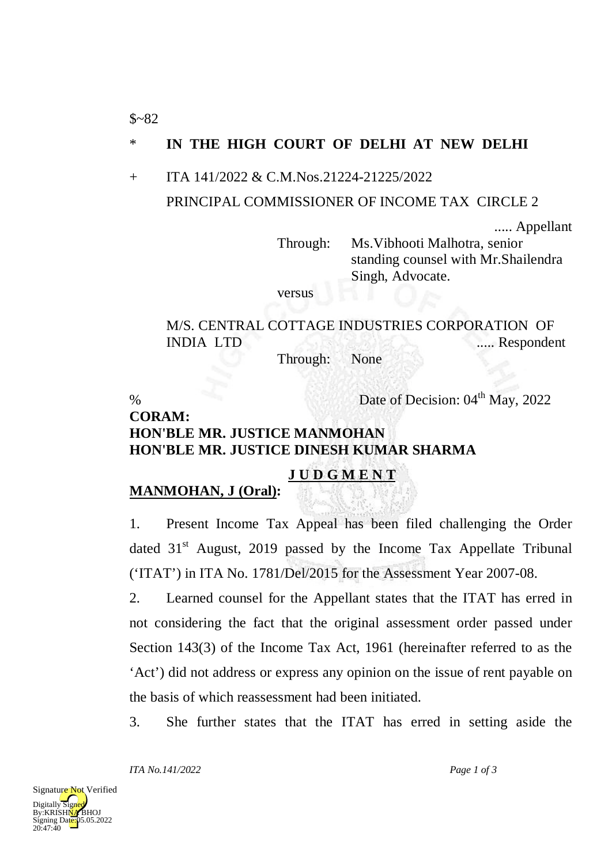## \* **IN THE HIGH COURT OF DELHI AT NEW DELHI**

#### + ITA 141/2022 & C.M.Nos.21224-21225/2022

#### PRINCIPAL COMMISSIONER OF INCOME TAX CIRCLE 2

..... Appellant

Through: Ms.Vibhooti Malhotra, senior standing counsel with Mr.Shailendra Singh, Advocate.

versus

# M/S. CENTRAL COTTAGE INDUSTRIES CORPORATION OF INDIA LTD ..... Respondent

Through: None

 $$~82$ 

% Date of Decision:  $04<sup>th</sup>$  May, 2022

## **CORAM: HON'BLE MR. JUSTICE MANMOHAN HON'BLE MR. JUSTICE DINESH KUMAR SHARMA**

### **J U D G M E N T**

### **MANMOHAN, J (Oral) :**

1. Present Income Tax Appeal has been filed challenging the Order dated  $31<sup>st</sup>$  August, 2019 passed by the Income Tax Appellate Tribunal ('ITAT') in ITA No. 1781/Del/2015 for the Assessment Year 2007-08.

2. Learned counsel for the Appellant states that the ITAT has erred in not considering the fact that the original assessment order passed under Section 143(3) of the Income Tax Act, 1961 (hereinafter referred to as the 'Act') did not address or express any opinion on the issue of rent payable on the basis of which reassessment had been initiated.

3. She further states that the ITAT has erred in setting aside the

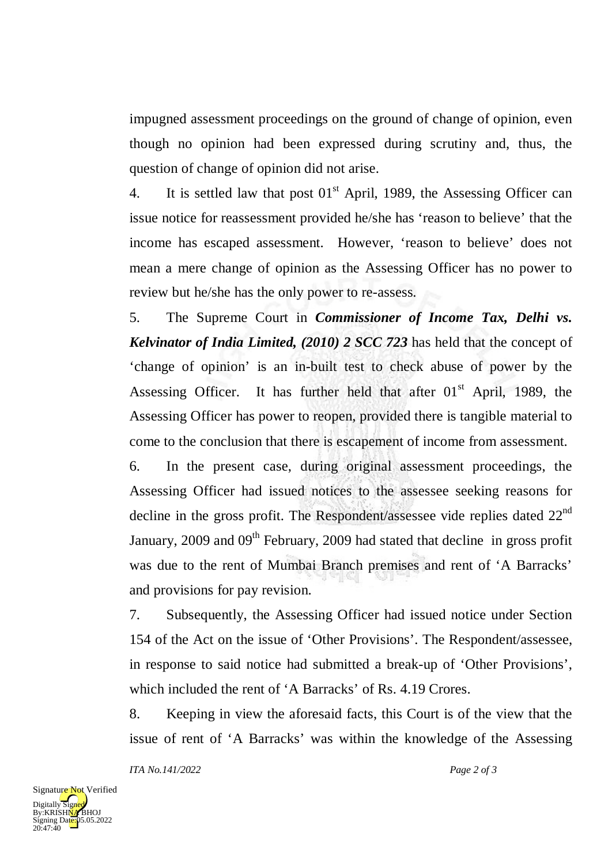impugned assessment proceedings on the ground of change of opinion, even though no opinion had been expressed during scrutiny and, thus, the question of change of opinion did not arise.

4. It is settled law that post  $01<sup>st</sup>$  April, 1989, the Assessing Officer can issue notice for reassessment provided he/she has 'reason to believe' that the income has escaped assessment. However, 'reason to believe' does not mean a mere change of opinion as the Assessing Officer has no power to review but he/she has the only power to re-assess.

5. The Supreme Court in *Commissioner of Income Tax, Delhi vs. Kelvinator of India Limited, (2010) 2 SCC 723* has held that the concept of 'change of opinion' is an in-built test to check abuse of power by the Assessing Officer. It has further held that after  $01<sup>st</sup>$  April, 1989, the Assessing Officer has power to reopen, provided there is tangible material to come to the conclusion that there is escapement of income from assessment.

6. In the present case, during original assessment proceedings, the Assessing Officer had issued notices to the assessee seeking reasons for decline in the gross profit. The Respondent/assessee vide replies dated 22<sup>nd</sup> January, 2009 and 09<sup>th</sup> February, 2009 had stated that decline in gross profit was due to the rent of Mumbai Branch premises and rent of 'A Barracks' and provisions for pay revision.

7. Subsequently, the Assessing Officer had issued notice under Section 154 of the Act on the issue of 'Other Provisions'. The Respondent/assessee, in response to said notice had submitted a break-up of 'Other Provisions', which included the rent of 'A Barracks' of Rs. 4.19 Crores.

8. Keeping in view the aforesaid facts, this Court is of the view that the issue of rent of 'A Barracks' was within the knowledge of the Assessing